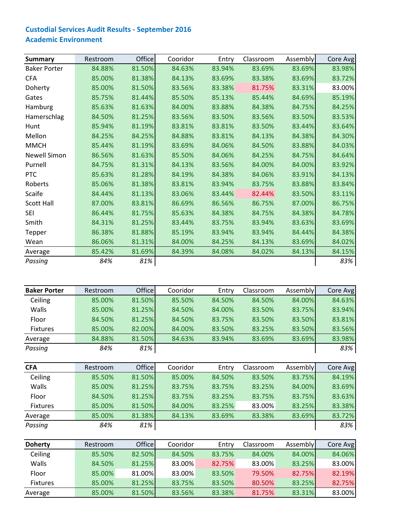| <b>Summary</b>      | Restroom | Office | Cooridor | Entry  | Classroom | Assembly | Core Avg |
|---------------------|----------|--------|----------|--------|-----------|----------|----------|
| <b>Baker Porter</b> | 84.88%   | 81.50% | 84.63%   | 83.94% | 83.69%    | 83.69%   | 83.98%   |
| <b>CFA</b>          | 85.00%   | 81.38% | 84.13%   | 83.69% | 83.38%    | 83.69%   | 83.72%   |
| Doherty             | 85.00%   | 81.50% | 83.56%   | 83.38% | 81.75%    | 83.31%   | 83.00%   |
| Gates               | 85.75%   | 81.44% | 85.50%   | 85.13% | 85.44%    | 84.69%   | 85.19%   |
| Hamburg             | 85.63%   | 81.63% | 84.00%   | 83.88% | 84.38%    | 84.75%   | 84.25%   |
| Hamerschlag         | 84.50%   | 81.25% | 83.56%   | 83.50% | 83.56%    | 83.50%   | 83.53%   |
| Hunt                | 85.94%   | 81.19% | 83.81%   | 83.81% | 83.50%    | 83.44%   | 83.64%   |
| Mellon              | 84.25%   | 84.25% | 84.88%   | 83.81% | 84.13%    | 84.38%   | 84.30%   |
| <b>MMCH</b>         | 85.44%   | 81.19% | 83.69%   | 84.06% | 84.50%    | 83.88%   | 84.03%   |
| <b>Newell Simon</b> | 86.56%   | 81.63% | 85.50%   | 84.06% | 84.25%    | 84.75%   | 84.64%   |
| Purnell             | 84.75%   | 81.31% | 84.13%   | 83.56% | 84.00%    | 84.00%   | 83.92%   |
| <b>PTC</b>          | 85.63%   | 81.28% | 84.19%   | 84.38% | 84.06%    | 83.91%   | 84.13%   |
| Roberts             | 85.06%   | 81.38% | 83.81%   | 83.94% | 83.75%    | 83.88%   | 83.84%   |
| Scaife              | 84.44%   | 81.13% | 83.06%   | 83.44% | 82.44%    | 83.50%   | 83.11%   |
| <b>Scott Hall</b>   | 87.00%   | 83.81% | 86.69%   | 86.56% | 86.75%    | 87.00%   | 86.75%   |
| <b>SEI</b>          | 86.44%   | 81.75% | 85.63%   | 84.38% | 84.75%    | 84.38%   | 84.78%   |
| Smith               | 84.31%   | 81.25% | 83.44%   | 83.75% | 83.94%    | 83.63%   | 83.69%   |
| Tepper              | 86.38%   | 81.88% | 85.19%   | 83.94% | 83.94%    | 84.44%   | 84.38%   |
| Wean                | 86.06%   | 81.31% | 84.00%   | 84.25% | 84.13%    | 83.69%   | 84.02%   |
| Average             | 85.42%   | 81.69% | 84.39%   | 84.08% | 84.02%    | 84.13%   | 84.15%   |
| Passing             | 84%      | 81%    |          |        |           |          | 83%      |

| <b>Baker Porter</b> | Restroom | <b>Office</b> | Cooridor | Entry  | Classroom | Assembly | Core Avg |
|---------------------|----------|---------------|----------|--------|-----------|----------|----------|
| Ceiling             | 85.00%   | 81.50%        | 85.50%   | 84.50% | 84.50%    | 84.00%   | 84.63%   |
| Walls               | 85.00%   | 81.25%        | 84.50%   | 84.00% | 83.50%    | 83.75%   | 83.94%   |
| Floor               | 84.50%   | 81.25%        | 84.50%   | 83.75% | 83.50%    | 83.50%   | 83.81%   |
| <b>Fixtures</b>     | 85.00%   | 82.00%        | 84.00%   | 83.50% | 83.25%    | 83.50%   | 83.56%   |
| Average             | 84.88%   | 81.50%        | 84.63%   | 83.94% | 83.69%    | 83.69%   | 83.98%   |
| Passing             | 84%      | 81%           |          |        |           |          | 83%      |

| <b>CFA</b>      | Restroom | <b>Office</b> | Cooridor | Entry  | Classroom | Assembly | Core Avg |
|-----------------|----------|---------------|----------|--------|-----------|----------|----------|
| Ceiling         | 85.50%   | 81.50%        | 85.00%   | 84.50% | 83.50%    | 83.75%   | 84.19%   |
| Walls           | 85.00%   | 81.25%        | 83.75%   | 83.75% | 83.25%    | 84.00%   | 83.69%   |
| Floor           | 84.50%   | 81.25%        | 83.75%   | 83.25% | 83.75%    | 83.75%   | 83.63%   |
| <b>Fixtures</b> | 85.00%   | 81.50%        | 84.00%   | 83.25% | 83.00%    | 83.25%   | 83.38%   |
| Average         | 85.00%   | 81.38%        | 84.13%   | 83.69% | 83.38%    | 83.69%   | 83.72%   |
| Passing         | 84%      | 81%           |          |        |           |          | 83%      |

| <b>Doherty</b>  | Restroom | <b>Office</b> | Cooridor | Entry  | Classroom | Assembly | Core Avg |
|-----------------|----------|---------------|----------|--------|-----------|----------|----------|
| Ceiling         | 85.50%   | 82.50%        | 84.50%   | 83.75% | 84.00%    | 84.00%   | 84.06%   |
| Walls           | 84.50%   | 81.25%        | 83.00%   | 82.75% | 83.00%    | 83.25%   | 83.00%   |
| Floor           | 85.00%   | 81.00%        | 83.00%   | 83.50% | 79.50%    | 82.75%   | 82.19%   |
| <b>Fixtures</b> | 85.00%   | 81.25%        | 83.75%   | 83.50% | 80.50%    | 83.25%   | 82.75%   |
| Average         | 85.00%   | 81.50%        | 83.56%   | 83.38% | 81.75%    | 83.31%   | 83.00%   |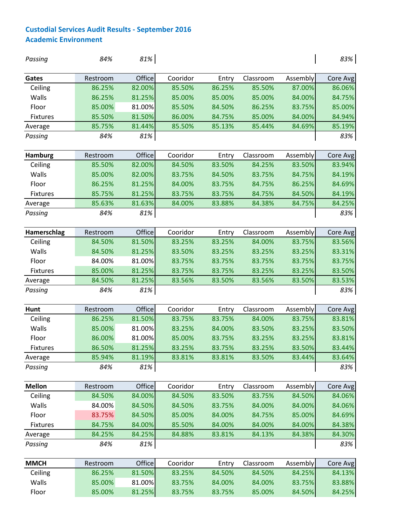| Passing         | 84%      | 81%    |          |        |           |          | 83%      |
|-----------------|----------|--------|----------|--------|-----------|----------|----------|
| Gates           | Restroom | Office | Cooridor | Entry  | Classroom | Assembly | Core Avg |
| Ceiling         | 86.25%   | 82.00% | 85.50%   | 86.25% | 85.50%    | 87.00%   | 86.06%   |
| Walls           | 86.25%   | 81.25% | 85.00%   | 85.00% | 85.00%    | 84.00%   | 84.75%   |
| Floor           | 85.00%   | 81.00% | 85.50%   | 84.50% | 86.25%    | 83.75%   | 85.00%   |
| Fixtures        | 85.50%   | 81.50% | 86.00%   | 84.75% | 85.00%    | 84.00%   | 84.94%   |
| Average         | 85.75%   | 81.44% | 85.50%   | 85.13% | 85.44%    | 84.69%   | 85.19%   |
| Passing         | 84%      | 81%    |          |        |           |          | 83%      |
| <b>Hamburg</b>  | Restroom | Office | Cooridor | Entry  | Classroom | Assembly | Core Avg |
| Ceiling         | 85.50%   | 82.00% | 84.50%   | 83.50% | 84.25%    | 83.50%   | 83.94%   |
| Walls           | 85.00%   | 82.00% | 83.75%   | 84.50% | 83.75%    | 84.75%   | 84.19%   |
| Floor           | 86.25%   | 81.25% | 84.00%   | 83.75% | 84.75%    | 86.25%   | 84.69%   |
| <b>Fixtures</b> | 85.75%   | 81.25% | 83.75%   | 83.75% | 84.75%    | 84.50%   | 84.19%   |
| Average         | 85.63%   | 81.63% | 84.00%   | 83.88% | 84.38%    | 84.75%   | 84.25%   |
| Passing         | 84%      | 81%    |          |        |           |          | 83%      |
| Hamerschlag     | Restroom | Office | Cooridor | Entry  | Classroom | Assembly | Core Avg |
| Ceiling         | 84.50%   | 81.50% | 83.25%   | 83.25% | 84.00%    | 83.75%   | 83.56%   |
| Walls           | 84.50%   | 81.25% | 83.50%   | 83.25% | 83.25%    | 83.25%   | 83.31%   |
| Floor           | 84.00%   | 81.00% | 83.75%   | 83.75% | 83.75%    | 83.75%   | 83.75%   |
| <b>Fixtures</b> | 85.00%   | 81.25% | 83.75%   | 83.75% | 83.25%    | 83.25%   | 83.50%   |
| Average         | 84.50%   | 81.25% | 83.56%   | 83.50% | 83.56%    | 83.50%   | 83.53%   |
| Passing         | 84%      | 81%    |          |        |           |          | 83%      |
| Hunt            | Restroom | Office | Cooridor | Entry  | Classroom | Assembly | Core Avg |
| Ceiling         | 86.25%   | 81.50% | 83.75%   | 83.75% | 84.00%    | 83.75%   | 83.81%   |
| Walls           | 85.00%   | 81.00% | 83.25%   | 84.00% | 83.50%    | 83.25%   | 83.50%   |
| Floor           | 86.00%   | 81.00% | 85.00%   | 83.75% | 83.25%    | 83.25%   | 83.81%   |
| Fixtures        | 86.50%   | 81.25% | 83.25%   | 83.75% | 83.25%    | 83.50%   | 83.44%   |
| Average         | 85.94%   | 81.19% | 83.81%   | 83.81% | 83.50%    | 83.44%   | 83.64%   |
| Passing         | 84%      | 81%    |          |        |           |          | 83%      |
| <b>Mellon</b>   | Restroom | Office | Cooridor | Entry  | Classroom | Assembly | Core Avg |
| Ceiling         | 84.50%   | 84.00% | 84.50%   | 83.50% | 83.75%    | 84.50%   | 84.06%   |
| Walls           | 84.00%   | 84.50% | 84.50%   | 83.75% | 84.00%    | 84.00%   | 84.06%   |
| Floor           | 83.75%   | 84.50% | 85.00%   | 84.00% | 84.75%    | 85.00%   | 84.69%   |
| Fixtures        | 84.75%   | 84.00% | 85.50%   | 84.00% | 84.00%    | 84.00%   | 84.38%   |
| Average         | 84.25%   | 84.25% | 84.88%   | 83.81% | 84.13%    | 84.38%   | 84.30%   |
| Passing         | 84%      | 81%    |          |        |           |          | 83%      |
| <b>MMCH</b>     | Restroom | Office | Cooridor | Entry  | Classroom | Assembly | Core Avg |
| Ceiling         | 86.25%   | 81.50% | 83.25%   | 84.50% | 84.50%    | 84.25%   | 84.13%   |
| Walls           | 85.00%   | 81.00% | 83.75%   | 84.00% | 84.00%    | 83.75%   | 83.88%   |
| Floor           | 85.00%   | 81.25% | 83.75%   | 83.75% | 85.00%    | 84.50%   | 84.25%   |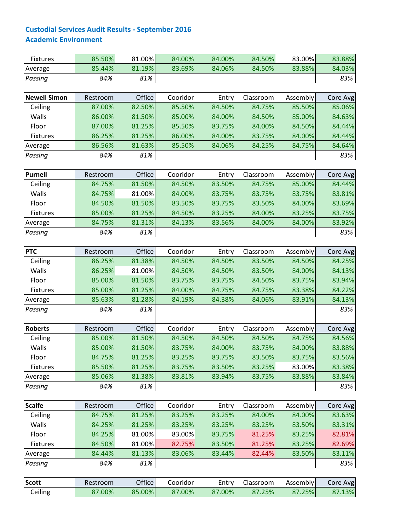| 85.44%<br>81.19%<br>83.88%<br>84.03%<br>83.69%<br>84.06%<br>84.50%<br>Average<br>83%<br>Passing<br>84%<br>81%<br>Cooridor<br><b>Newell Simon</b><br>Office<br>Classroom<br>Assembly<br>Core Avg<br>Restroom<br>Entry<br>82.50%<br>85.50%<br>85.50%<br>85.06%<br>Ceiling<br>87.00%<br>84.50%<br>84.75%<br>Walls<br>81.50%<br>85.00%<br>84.63%<br>86.00%<br>85.00%<br>84.00%<br>84.50%<br>Floor<br>87.00%<br>81.25%<br>85.50%<br>83.75%<br>84.00%<br>84.50%<br>84.44%<br>81.25%<br>84.00%<br>84.44%<br><b>Fixtures</b><br>86.25%<br>86.00%<br>84.00%<br>83.75%<br>86.56%<br>81.63%<br>85.50%<br>84.06%<br>84.25%<br>84.75%<br>84.64%<br>Average<br>81%<br>84%<br>Passing<br>Office<br>Cooridor<br><b>Purnell</b><br>Assembly<br>Restroom<br>Entry<br>Classroom<br>Core Avg<br>81.50%<br>84.50%<br>83.50%<br>85.00%<br>84.44%<br>Ceiling<br>84.75%<br>84.75%<br>Walls<br>84.75%<br>83.75%<br>83.81%<br>81.00%<br>84.00%<br>83.75%<br>83.75%<br>Floor<br>81.50%<br>83.50%<br>84.00%<br>83.69%<br>84.50%<br>83.75%<br>83.50%<br>85.00%<br>81.25%<br>84.50%<br>83.25%<br>84.00%<br>83.25%<br>83.75%<br><b>Fixtures</b><br>81.31%<br>84.75%<br>84.13%<br>83.56%<br>84.00%<br>84.00%<br>83.92%<br>Average<br>84%<br>81%<br>83%<br>Passing<br>Office<br>Cooridor<br><b>PTC</b><br>Classroom<br>Assembly<br>Restroom<br>Entry<br>Core Avg<br>81.38%<br>84.50%<br>84.25%<br>Ceiling<br>86.25%<br>84.50%<br>84.50%<br>83.50%<br>Walls<br>81.00%<br>86.25%<br>84.00%<br>84.13%<br>84.50%<br>84.50%<br>83.50%<br>Floor<br>85.00%<br>81.50%<br>83.75%<br>84.50%<br>83.75%<br>83.94%<br>83.75%<br>85.00%<br>81.25%<br>84.00%<br>84.75%<br>84.75%<br>83.38%<br>84.22%<br><b>Fixtures</b><br>81.28%<br>84.13%<br>85.63%<br>84.19%<br>84.38%<br>83.91%<br>84.06%<br>Average<br>84%<br>81%<br>83%<br>Passing<br>Office<br><b>Roberts</b><br>Cooridor<br>Classroom<br>Entry<br>Assembly<br>Core Avg<br>Restroom<br>Ceiling<br>81.50%<br>84.56%<br>85.00%<br>84.50%<br>84.50%<br>84.50%<br>84.75%<br>Walls<br>81.50%<br>84.00%<br>85.00%<br>83.75%<br>84.00%<br>83.75%<br>Floor<br>81.25%<br>83.75%<br>83.75%<br>83.56%<br>84.75%<br>83.25%<br>83.50%<br>85.50%<br>81.25%<br>83.75%<br>83.50%<br>83.25%<br>83.00%<br>83.38%<br><b>Fixtures</b><br>85.06%<br>81.38%<br>83.81%<br>83.94%<br>83.75%<br>83.88%<br>83.84%<br>Average<br>81%<br>84%<br>83%<br>Passing<br><b>Scaife</b><br>Office<br>Cooridor<br>Classroom<br>Assembly<br>Core Avg<br>Restroom<br>Entry<br>Ceiling<br>81.25%<br>83.25%<br>83.25%<br>84.00%<br>84.00%<br>83.63%<br>84.75%<br>Walls<br>81.25%<br>83.50%<br>83.31%<br>84.25%<br>83.25%<br>83.25%<br>83.25%<br>Floor<br>82.81%<br>84.25%<br>81.00%<br>83.00%<br>83.75%<br>81.25%<br>83.25%<br><b>Fixtures</b><br>84.50%<br>81.00%<br>82.75%<br>83.25%<br>82.69%<br>83.50%<br>81.25%<br>81.13%<br>84.44%<br>83.06%<br>83.44%<br>82.44%<br>83.50%<br>83.11%<br>Average<br>81%<br>83%<br>Passing<br>84%<br>Office<br>Cooridor<br>Classroom<br><b>Scott</b><br>Restroom<br>Entry<br>Assembly<br>Core Avg<br>85.00%<br>Ceiling<br>87.00%<br>87.00%<br>87.25%<br>87.00%<br>87.25% | <b>Fixtures</b> | 85.50% | 81.00% | 84.00% | 84.00% | 84.50% | 83.00% | 83.88% |
|----------------------------------------------------------------------------------------------------------------------------------------------------------------------------------------------------------------------------------------------------------------------------------------------------------------------------------------------------------------------------------------------------------------------------------------------------------------------------------------------------------------------------------------------------------------------------------------------------------------------------------------------------------------------------------------------------------------------------------------------------------------------------------------------------------------------------------------------------------------------------------------------------------------------------------------------------------------------------------------------------------------------------------------------------------------------------------------------------------------------------------------------------------------------------------------------------------------------------------------------------------------------------------------------------------------------------------------------------------------------------------------------------------------------------------------------------------------------------------------------------------------------------------------------------------------------------------------------------------------------------------------------------------------------------------------------------------------------------------------------------------------------------------------------------------------------------------------------------------------------------------------------------------------------------------------------------------------------------------------------------------------------------------------------------------------------------------------------------------------------------------------------------------------------------------------------------------------------------------------------------------------------------------------------------------------------------------------------------------------------------------------------------------------------------------------------------------------------------------------------------------------------------------------------------------------------------------------------------------------------------------------------------------------------------------------------------------------------------------------------------------------------------------------------------------------------------------------------------------------------------------------------------------------------------------------------------------------------------------------------------------------------------------------------------------------------------|-----------------|--------|--------|--------|--------|--------|--------|--------|
|                                                                                                                                                                                                                                                                                                                                                                                                                                                                                                                                                                                                                                                                                                                                                                                                                                                                                                                                                                                                                                                                                                                                                                                                                                                                                                                                                                                                                                                                                                                                                                                                                                                                                                                                                                                                                                                                                                                                                                                                                                                                                                                                                                                                                                                                                                                                                                                                                                                                                                                                                                                                                                                                                                                                                                                                                                                                                                                                                                                                                                                                            |                 |        |        |        |        |        |        |        |
|                                                                                                                                                                                                                                                                                                                                                                                                                                                                                                                                                                                                                                                                                                                                                                                                                                                                                                                                                                                                                                                                                                                                                                                                                                                                                                                                                                                                                                                                                                                                                                                                                                                                                                                                                                                                                                                                                                                                                                                                                                                                                                                                                                                                                                                                                                                                                                                                                                                                                                                                                                                                                                                                                                                                                                                                                                                                                                                                                                                                                                                                            |                 |        |        |        |        |        |        |        |
|                                                                                                                                                                                                                                                                                                                                                                                                                                                                                                                                                                                                                                                                                                                                                                                                                                                                                                                                                                                                                                                                                                                                                                                                                                                                                                                                                                                                                                                                                                                                                                                                                                                                                                                                                                                                                                                                                                                                                                                                                                                                                                                                                                                                                                                                                                                                                                                                                                                                                                                                                                                                                                                                                                                                                                                                                                                                                                                                                                                                                                                                            |                 |        |        |        |        |        |        |        |
|                                                                                                                                                                                                                                                                                                                                                                                                                                                                                                                                                                                                                                                                                                                                                                                                                                                                                                                                                                                                                                                                                                                                                                                                                                                                                                                                                                                                                                                                                                                                                                                                                                                                                                                                                                                                                                                                                                                                                                                                                                                                                                                                                                                                                                                                                                                                                                                                                                                                                                                                                                                                                                                                                                                                                                                                                                                                                                                                                                                                                                                                            |                 |        |        |        |        |        |        |        |
|                                                                                                                                                                                                                                                                                                                                                                                                                                                                                                                                                                                                                                                                                                                                                                                                                                                                                                                                                                                                                                                                                                                                                                                                                                                                                                                                                                                                                                                                                                                                                                                                                                                                                                                                                                                                                                                                                                                                                                                                                                                                                                                                                                                                                                                                                                                                                                                                                                                                                                                                                                                                                                                                                                                                                                                                                                                                                                                                                                                                                                                                            |                 |        |        |        |        |        |        |        |
|                                                                                                                                                                                                                                                                                                                                                                                                                                                                                                                                                                                                                                                                                                                                                                                                                                                                                                                                                                                                                                                                                                                                                                                                                                                                                                                                                                                                                                                                                                                                                                                                                                                                                                                                                                                                                                                                                                                                                                                                                                                                                                                                                                                                                                                                                                                                                                                                                                                                                                                                                                                                                                                                                                                                                                                                                                                                                                                                                                                                                                                                            |                 |        |        |        |        |        |        |        |
|                                                                                                                                                                                                                                                                                                                                                                                                                                                                                                                                                                                                                                                                                                                                                                                                                                                                                                                                                                                                                                                                                                                                                                                                                                                                                                                                                                                                                                                                                                                                                                                                                                                                                                                                                                                                                                                                                                                                                                                                                                                                                                                                                                                                                                                                                                                                                                                                                                                                                                                                                                                                                                                                                                                                                                                                                                                                                                                                                                                                                                                                            |                 |        |        |        |        |        |        |        |
|                                                                                                                                                                                                                                                                                                                                                                                                                                                                                                                                                                                                                                                                                                                                                                                                                                                                                                                                                                                                                                                                                                                                                                                                                                                                                                                                                                                                                                                                                                                                                                                                                                                                                                                                                                                                                                                                                                                                                                                                                                                                                                                                                                                                                                                                                                                                                                                                                                                                                                                                                                                                                                                                                                                                                                                                                                                                                                                                                                                                                                                                            |                 |        |        |        |        |        |        |        |
|                                                                                                                                                                                                                                                                                                                                                                                                                                                                                                                                                                                                                                                                                                                                                                                                                                                                                                                                                                                                                                                                                                                                                                                                                                                                                                                                                                                                                                                                                                                                                                                                                                                                                                                                                                                                                                                                                                                                                                                                                                                                                                                                                                                                                                                                                                                                                                                                                                                                                                                                                                                                                                                                                                                                                                                                                                                                                                                                                                                                                                                                            |                 |        |        |        |        |        |        | 83%    |
|                                                                                                                                                                                                                                                                                                                                                                                                                                                                                                                                                                                                                                                                                                                                                                                                                                                                                                                                                                                                                                                                                                                                                                                                                                                                                                                                                                                                                                                                                                                                                                                                                                                                                                                                                                                                                                                                                                                                                                                                                                                                                                                                                                                                                                                                                                                                                                                                                                                                                                                                                                                                                                                                                                                                                                                                                                                                                                                                                                                                                                                                            |                 |        |        |        |        |        |        |        |
|                                                                                                                                                                                                                                                                                                                                                                                                                                                                                                                                                                                                                                                                                                                                                                                                                                                                                                                                                                                                                                                                                                                                                                                                                                                                                                                                                                                                                                                                                                                                                                                                                                                                                                                                                                                                                                                                                                                                                                                                                                                                                                                                                                                                                                                                                                                                                                                                                                                                                                                                                                                                                                                                                                                                                                                                                                                                                                                                                                                                                                                                            |                 |        |        |        |        |        |        |        |
|                                                                                                                                                                                                                                                                                                                                                                                                                                                                                                                                                                                                                                                                                                                                                                                                                                                                                                                                                                                                                                                                                                                                                                                                                                                                                                                                                                                                                                                                                                                                                                                                                                                                                                                                                                                                                                                                                                                                                                                                                                                                                                                                                                                                                                                                                                                                                                                                                                                                                                                                                                                                                                                                                                                                                                                                                                                                                                                                                                                                                                                                            |                 |        |        |        |        |        |        |        |
|                                                                                                                                                                                                                                                                                                                                                                                                                                                                                                                                                                                                                                                                                                                                                                                                                                                                                                                                                                                                                                                                                                                                                                                                                                                                                                                                                                                                                                                                                                                                                                                                                                                                                                                                                                                                                                                                                                                                                                                                                                                                                                                                                                                                                                                                                                                                                                                                                                                                                                                                                                                                                                                                                                                                                                                                                                                                                                                                                                                                                                                                            |                 |        |        |        |        |        |        |        |
|                                                                                                                                                                                                                                                                                                                                                                                                                                                                                                                                                                                                                                                                                                                                                                                                                                                                                                                                                                                                                                                                                                                                                                                                                                                                                                                                                                                                                                                                                                                                                                                                                                                                                                                                                                                                                                                                                                                                                                                                                                                                                                                                                                                                                                                                                                                                                                                                                                                                                                                                                                                                                                                                                                                                                                                                                                                                                                                                                                                                                                                                            |                 |        |        |        |        |        |        |        |
|                                                                                                                                                                                                                                                                                                                                                                                                                                                                                                                                                                                                                                                                                                                                                                                                                                                                                                                                                                                                                                                                                                                                                                                                                                                                                                                                                                                                                                                                                                                                                                                                                                                                                                                                                                                                                                                                                                                                                                                                                                                                                                                                                                                                                                                                                                                                                                                                                                                                                                                                                                                                                                                                                                                                                                                                                                                                                                                                                                                                                                                                            |                 |        |        |        |        |        |        |        |
|                                                                                                                                                                                                                                                                                                                                                                                                                                                                                                                                                                                                                                                                                                                                                                                                                                                                                                                                                                                                                                                                                                                                                                                                                                                                                                                                                                                                                                                                                                                                                                                                                                                                                                                                                                                                                                                                                                                                                                                                                                                                                                                                                                                                                                                                                                                                                                                                                                                                                                                                                                                                                                                                                                                                                                                                                                                                                                                                                                                                                                                                            |                 |        |        |        |        |        |        |        |
|                                                                                                                                                                                                                                                                                                                                                                                                                                                                                                                                                                                                                                                                                                                                                                                                                                                                                                                                                                                                                                                                                                                                                                                                                                                                                                                                                                                                                                                                                                                                                                                                                                                                                                                                                                                                                                                                                                                                                                                                                                                                                                                                                                                                                                                                                                                                                                                                                                                                                                                                                                                                                                                                                                                                                                                                                                                                                                                                                                                                                                                                            |                 |        |        |        |        |        |        |        |
|                                                                                                                                                                                                                                                                                                                                                                                                                                                                                                                                                                                                                                                                                                                                                                                                                                                                                                                                                                                                                                                                                                                                                                                                                                                                                                                                                                                                                                                                                                                                                                                                                                                                                                                                                                                                                                                                                                                                                                                                                                                                                                                                                                                                                                                                                                                                                                                                                                                                                                                                                                                                                                                                                                                                                                                                                                                                                                                                                                                                                                                                            |                 |        |        |        |        |        |        |        |
|                                                                                                                                                                                                                                                                                                                                                                                                                                                                                                                                                                                                                                                                                                                                                                                                                                                                                                                                                                                                                                                                                                                                                                                                                                                                                                                                                                                                                                                                                                                                                                                                                                                                                                                                                                                                                                                                                                                                                                                                                                                                                                                                                                                                                                                                                                                                                                                                                                                                                                                                                                                                                                                                                                                                                                                                                                                                                                                                                                                                                                                                            |                 |        |        |        |        |        |        |        |
|                                                                                                                                                                                                                                                                                                                                                                                                                                                                                                                                                                                                                                                                                                                                                                                                                                                                                                                                                                                                                                                                                                                                                                                                                                                                                                                                                                                                                                                                                                                                                                                                                                                                                                                                                                                                                                                                                                                                                                                                                                                                                                                                                                                                                                                                                                                                                                                                                                                                                                                                                                                                                                                                                                                                                                                                                                                                                                                                                                                                                                                                            |                 |        |        |        |        |        |        |        |
|                                                                                                                                                                                                                                                                                                                                                                                                                                                                                                                                                                                                                                                                                                                                                                                                                                                                                                                                                                                                                                                                                                                                                                                                                                                                                                                                                                                                                                                                                                                                                                                                                                                                                                                                                                                                                                                                                                                                                                                                                                                                                                                                                                                                                                                                                                                                                                                                                                                                                                                                                                                                                                                                                                                                                                                                                                                                                                                                                                                                                                                                            |                 |        |        |        |        |        |        |        |
|                                                                                                                                                                                                                                                                                                                                                                                                                                                                                                                                                                                                                                                                                                                                                                                                                                                                                                                                                                                                                                                                                                                                                                                                                                                                                                                                                                                                                                                                                                                                                                                                                                                                                                                                                                                                                                                                                                                                                                                                                                                                                                                                                                                                                                                                                                                                                                                                                                                                                                                                                                                                                                                                                                                                                                                                                                                                                                                                                                                                                                                                            |                 |        |        |        |        |        |        |        |
|                                                                                                                                                                                                                                                                                                                                                                                                                                                                                                                                                                                                                                                                                                                                                                                                                                                                                                                                                                                                                                                                                                                                                                                                                                                                                                                                                                                                                                                                                                                                                                                                                                                                                                                                                                                                                                                                                                                                                                                                                                                                                                                                                                                                                                                                                                                                                                                                                                                                                                                                                                                                                                                                                                                                                                                                                                                                                                                                                                                                                                                                            |                 |        |        |        |        |        |        |        |
|                                                                                                                                                                                                                                                                                                                                                                                                                                                                                                                                                                                                                                                                                                                                                                                                                                                                                                                                                                                                                                                                                                                                                                                                                                                                                                                                                                                                                                                                                                                                                                                                                                                                                                                                                                                                                                                                                                                                                                                                                                                                                                                                                                                                                                                                                                                                                                                                                                                                                                                                                                                                                                                                                                                                                                                                                                                                                                                                                                                                                                                                            |                 |        |        |        |        |        |        |        |
|                                                                                                                                                                                                                                                                                                                                                                                                                                                                                                                                                                                                                                                                                                                                                                                                                                                                                                                                                                                                                                                                                                                                                                                                                                                                                                                                                                                                                                                                                                                                                                                                                                                                                                                                                                                                                                                                                                                                                                                                                                                                                                                                                                                                                                                                                                                                                                                                                                                                                                                                                                                                                                                                                                                                                                                                                                                                                                                                                                                                                                                                            |                 |        |        |        |        |        |        |        |
|                                                                                                                                                                                                                                                                                                                                                                                                                                                                                                                                                                                                                                                                                                                                                                                                                                                                                                                                                                                                                                                                                                                                                                                                                                                                                                                                                                                                                                                                                                                                                                                                                                                                                                                                                                                                                                                                                                                                                                                                                                                                                                                                                                                                                                                                                                                                                                                                                                                                                                                                                                                                                                                                                                                                                                                                                                                                                                                                                                                                                                                                            |                 |        |        |        |        |        |        | 83.88% |
|                                                                                                                                                                                                                                                                                                                                                                                                                                                                                                                                                                                                                                                                                                                                                                                                                                                                                                                                                                                                                                                                                                                                                                                                                                                                                                                                                                                                                                                                                                                                                                                                                                                                                                                                                                                                                                                                                                                                                                                                                                                                                                                                                                                                                                                                                                                                                                                                                                                                                                                                                                                                                                                                                                                                                                                                                                                                                                                                                                                                                                                                            |                 |        |        |        |        |        |        |        |
|                                                                                                                                                                                                                                                                                                                                                                                                                                                                                                                                                                                                                                                                                                                                                                                                                                                                                                                                                                                                                                                                                                                                                                                                                                                                                                                                                                                                                                                                                                                                                                                                                                                                                                                                                                                                                                                                                                                                                                                                                                                                                                                                                                                                                                                                                                                                                                                                                                                                                                                                                                                                                                                                                                                                                                                                                                                                                                                                                                                                                                                                            |                 |        |        |        |        |        |        |        |
|                                                                                                                                                                                                                                                                                                                                                                                                                                                                                                                                                                                                                                                                                                                                                                                                                                                                                                                                                                                                                                                                                                                                                                                                                                                                                                                                                                                                                                                                                                                                                                                                                                                                                                                                                                                                                                                                                                                                                                                                                                                                                                                                                                                                                                                                                                                                                                                                                                                                                                                                                                                                                                                                                                                                                                                                                                                                                                                                                                                                                                                                            |                 |        |        |        |        |        |        |        |
|                                                                                                                                                                                                                                                                                                                                                                                                                                                                                                                                                                                                                                                                                                                                                                                                                                                                                                                                                                                                                                                                                                                                                                                                                                                                                                                                                                                                                                                                                                                                                                                                                                                                                                                                                                                                                                                                                                                                                                                                                                                                                                                                                                                                                                                                                                                                                                                                                                                                                                                                                                                                                                                                                                                                                                                                                                                                                                                                                                                                                                                                            |                 |        |        |        |        |        |        |        |
|                                                                                                                                                                                                                                                                                                                                                                                                                                                                                                                                                                                                                                                                                                                                                                                                                                                                                                                                                                                                                                                                                                                                                                                                                                                                                                                                                                                                                                                                                                                                                                                                                                                                                                                                                                                                                                                                                                                                                                                                                                                                                                                                                                                                                                                                                                                                                                                                                                                                                                                                                                                                                                                                                                                                                                                                                                                                                                                                                                                                                                                                            |                 |        |        |        |        |        |        |        |
|                                                                                                                                                                                                                                                                                                                                                                                                                                                                                                                                                                                                                                                                                                                                                                                                                                                                                                                                                                                                                                                                                                                                                                                                                                                                                                                                                                                                                                                                                                                                                                                                                                                                                                                                                                                                                                                                                                                                                                                                                                                                                                                                                                                                                                                                                                                                                                                                                                                                                                                                                                                                                                                                                                                                                                                                                                                                                                                                                                                                                                                                            |                 |        |        |        |        |        |        |        |
|                                                                                                                                                                                                                                                                                                                                                                                                                                                                                                                                                                                                                                                                                                                                                                                                                                                                                                                                                                                                                                                                                                                                                                                                                                                                                                                                                                                                                                                                                                                                                                                                                                                                                                                                                                                                                                                                                                                                                                                                                                                                                                                                                                                                                                                                                                                                                                                                                                                                                                                                                                                                                                                                                                                                                                                                                                                                                                                                                                                                                                                                            |                 |        |        |        |        |        |        |        |
|                                                                                                                                                                                                                                                                                                                                                                                                                                                                                                                                                                                                                                                                                                                                                                                                                                                                                                                                                                                                                                                                                                                                                                                                                                                                                                                                                                                                                                                                                                                                                                                                                                                                                                                                                                                                                                                                                                                                                                                                                                                                                                                                                                                                                                                                                                                                                                                                                                                                                                                                                                                                                                                                                                                                                                                                                                                                                                                                                                                                                                                                            |                 |        |        |        |        |        |        |        |
|                                                                                                                                                                                                                                                                                                                                                                                                                                                                                                                                                                                                                                                                                                                                                                                                                                                                                                                                                                                                                                                                                                                                                                                                                                                                                                                                                                                                                                                                                                                                                                                                                                                                                                                                                                                                                                                                                                                                                                                                                                                                                                                                                                                                                                                                                                                                                                                                                                                                                                                                                                                                                                                                                                                                                                                                                                                                                                                                                                                                                                                                            |                 |        |        |        |        |        |        |        |
|                                                                                                                                                                                                                                                                                                                                                                                                                                                                                                                                                                                                                                                                                                                                                                                                                                                                                                                                                                                                                                                                                                                                                                                                                                                                                                                                                                                                                                                                                                                                                                                                                                                                                                                                                                                                                                                                                                                                                                                                                                                                                                                                                                                                                                                                                                                                                                                                                                                                                                                                                                                                                                                                                                                                                                                                                                                                                                                                                                                                                                                                            |                 |        |        |        |        |        |        |        |
|                                                                                                                                                                                                                                                                                                                                                                                                                                                                                                                                                                                                                                                                                                                                                                                                                                                                                                                                                                                                                                                                                                                                                                                                                                                                                                                                                                                                                                                                                                                                                                                                                                                                                                                                                                                                                                                                                                                                                                                                                                                                                                                                                                                                                                                                                                                                                                                                                                                                                                                                                                                                                                                                                                                                                                                                                                                                                                                                                                                                                                                                            |                 |        |        |        |        |        |        |        |
|                                                                                                                                                                                                                                                                                                                                                                                                                                                                                                                                                                                                                                                                                                                                                                                                                                                                                                                                                                                                                                                                                                                                                                                                                                                                                                                                                                                                                                                                                                                                                                                                                                                                                                                                                                                                                                                                                                                                                                                                                                                                                                                                                                                                                                                                                                                                                                                                                                                                                                                                                                                                                                                                                                                                                                                                                                                                                                                                                                                                                                                                            |                 |        |        |        |        |        |        |        |
|                                                                                                                                                                                                                                                                                                                                                                                                                                                                                                                                                                                                                                                                                                                                                                                                                                                                                                                                                                                                                                                                                                                                                                                                                                                                                                                                                                                                                                                                                                                                                                                                                                                                                                                                                                                                                                                                                                                                                                                                                                                                                                                                                                                                                                                                                                                                                                                                                                                                                                                                                                                                                                                                                                                                                                                                                                                                                                                                                                                                                                                                            |                 |        |        |        |        |        |        | 87.13% |